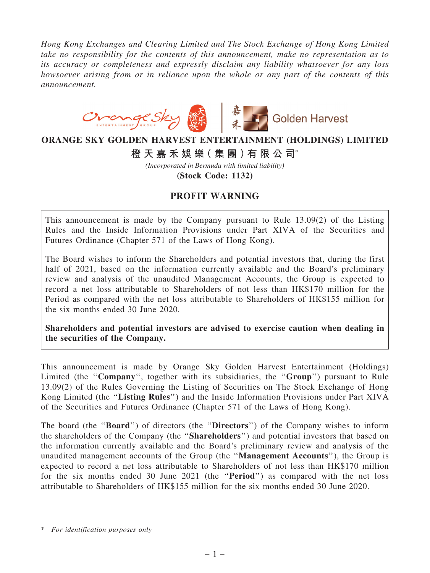*Hong Kong Exchanges and Clearing Limited and The Stock Exchange of Hong Kong Limited take no responsibility for the contents of this announcement, make no representation as to its accuracy or completeness and expressly disclaim any liability whatsoever for any loss howsoever arising from or in reliance upon the whole or any part of the contents of this announcement.*



## **ORANGE SKY GOLDEN HARVEST ENTERTAINMENT (HOLDINGS) LIMITED**

**橙 天 嘉 禾 娛 樂( 集 團 )有 限 公 司**\*

*(Incorporated in Bermuda with limited liability)*

**(Stock Code: 1132)**

## PROFIT WARNING

This announcement is made by the Company pursuant to Rule 13.09(2) of the Listing Rules and the Inside Information Provisions under Part XIVA of the Securities and Futures Ordinance (Chapter 571 of the Laws of Hong Kong).

The Board wishes to inform the Shareholders and potential investors that, during the first half of 2021, based on the information currently available and the Board's preliminary review and analysis of the unaudited Management Accounts, the Group is expected to record a net loss attributable to Shareholders of not less than HK\$170 million for the Period as compared with the net loss attributable to Shareholders of HK\$155 million for the six months ended 30 June 2020.

Shareholders and potential investors are advised to exercise caution when dealing in the securities of the Company.

This announcement is made by Orange Sky Golden Harvest Entertainment (Holdings) Limited (the "Company", together with its subsidiaries, the "Group") pursuant to Rule 13.09(2) of the Rules Governing the Listing of Securities on The Stock Exchange of Hong Kong Limited (the ''Listing Rules'') and the Inside Information Provisions under Part XIVA of the Securities and Futures Ordinance (Chapter 571 of the Laws of Hong Kong).

The board (the "**Board**") of directors (the "**Directors**") of the Company wishes to inform the shareholders of the Company (the ''Shareholders'') and potential investors that based on the information currently available and the Board's preliminary review and analysis of the unaudited management accounts of the Group (the ''Management Accounts''), the Group is expected to record a net loss attributable to Shareholders of not less than HK\$170 million for the six months ended 30 June 2021 (the ''Period'') as compared with the net loss attributable to Shareholders of HK\$155 million for the six months ended 30 June 2020.

<sup>\*</sup> *For identification purposes only*